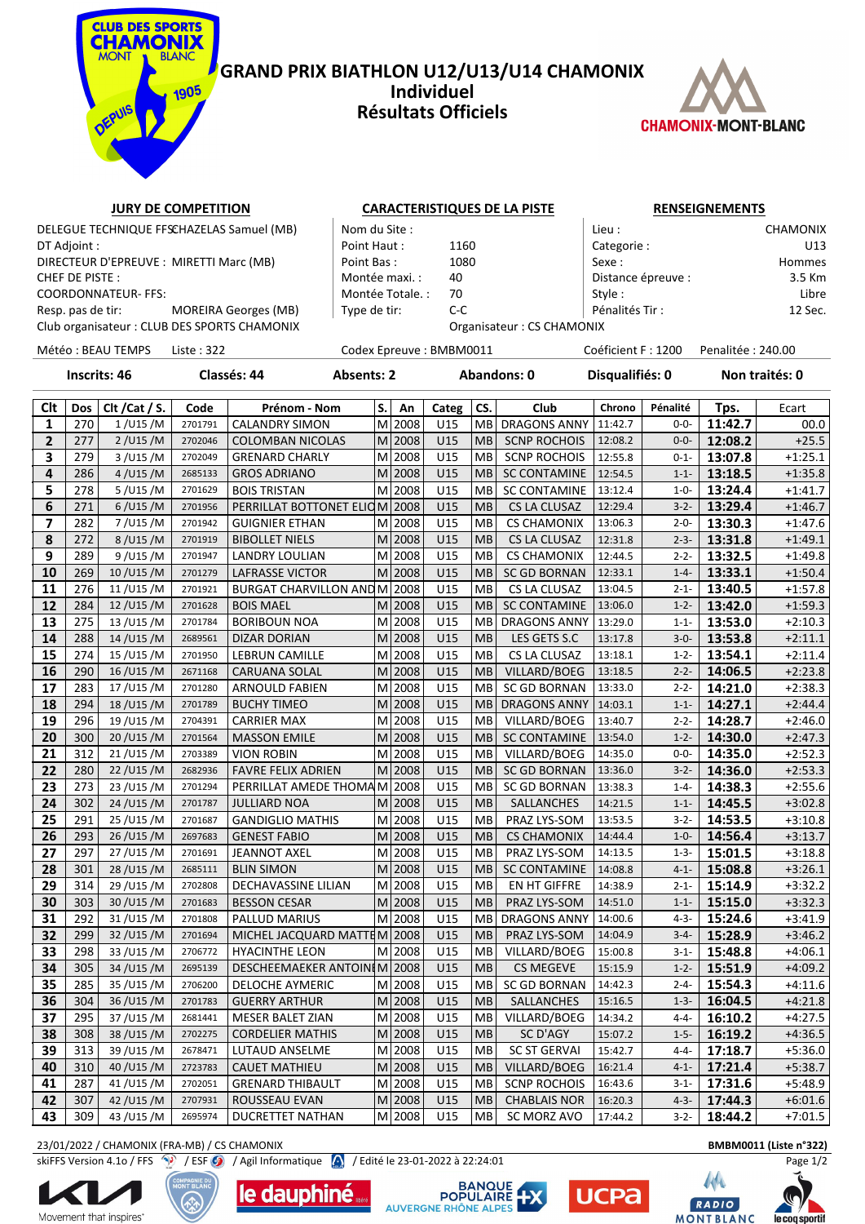

## **GRAND PRIX BIATHLON U12/U13/U14 CHAMONIX Individuel Résultats Officiels**



# **JURY DE COMPETITION CARACTERISTIQUES DE LA PISTE RENSEIGNEMENTS**

DT Adjoint : Point Haut : 1160 Categorie : U13 DIRECTEUR D'EPREUVE : MIRETTI Marc (MB) Point Bas : 1080 Sexe : Hommes CHEF DE PISTE : The PISTE : Montée maxi. : 40 Distance épreuve : COORDONNATEUR- FFS: Libre | Montée Totale. : 70 Style : Style : Libre | Style : Libre | Libre | Style : Libre | Libre | Libre | Style : Libre | Libre | Libre | Libre | Libre | Libre | Libre | Libre | Libre | Libre | Libre Resp. pas de tir: MOREIRA Georges (MB)  $\vert$  Type de tir: C-C Pénalités Tir : 12 Sec.

DELEGUE TECHNIQUE FFSCHAZELAS Samuel (MB)  $\parallel$  Nom du Site :  $\parallel$  Lieu : CHAMONIX

Club organisateur : CLUB DES SPORTS CHAMONIX Organisateur : CS CHAMONIX

Météo : BEAU TEMPS Liste : 322 Codex Epreuve : BMBM0011 Coéficient F : 1200 Penalitée : 240.00

**Inscrits: 46 Classés: 44 Absents: 2 Abandons: 0 Disqualifiés: 0 Non traités: 0**

| Clt             | Dos | Clt / Cat / S. | Code    | Prénom - Nom                  | S. | An        | Categ | CS.       | Club                | Chrono  | Pénalité  | Tps.    | Ecart     |
|-----------------|-----|----------------|---------|-------------------------------|----|-----------|-------|-----------|---------------------|---------|-----------|---------|-----------|
| $\mathbf{1}$    | 270 | $1$ /U15 /M    | 2701791 | <b>CALANDRY SIMON</b>         |    | $M$  2008 | U15   | MВ        | <b>DRAGONS ANNY</b> | 11:42.7 | $0 - 0 -$ | 11:42.7 | 00.0      |
| $\overline{2}$  | 277 | 2 / U15 / M    | 2702046 | <b>COLOMBAN NICOLAS</b>       |    | M 2008    | U15   | <b>MB</b> | <b>SCNP ROCHOIS</b> | 12:08.2 | $0 - 0 -$ | 12:08.2 | $+25.5$   |
| 3               | 279 | 3 / U15 / M    | 2702049 | <b>GRENARD CHARLY</b>         |    | M 2008    | U15   | <b>MB</b> | <b>SCNP ROCHOIS</b> | 12:55.8 | $0 - 1 -$ | 13:07.8 | $+1:25.1$ |
| 4               | 286 | 4 / U15 / M    | 2685133 | <b>GROS ADRIANO</b>           |    | M 2008    | U15   | <b>MB</b> | <b>SC CONTAMINE</b> | 12:54.5 | $1 - 1 -$ | 13:18.5 | $+1:35.8$ |
| 5               | 278 | 5/U15/M        | 2701629 | <b>BOIS TRISTAN</b>           | м  | 2008      | U15   | <b>MB</b> | <b>SC CONTAMINE</b> | 13:12.4 | $1 - 0 -$ | 13:24.4 | $+1:41.7$ |
| 6               | 271 | 6/U15/M        | 2701956 | PERRILLAT BOTTONET ELIOM 2008 |    |           | U15   | <b>MB</b> | CS LA CLUSAZ        | 12:29.4 | $3 - 2 -$ | 13:29.4 | $+1:46.7$ |
| 7               | 282 | 7/U15/M        | 2701942 | <b>GUIGNIER ETHAN</b>         |    | $M$  2008 | U15   | MВ        | <b>CS CHAMONIX</b>  | 13:06.3 | $2 - 0 -$ | 13:30.3 | $+1:47.6$ |
| 8               | 272 | 8/U15/M        | 2701919 | <b>BIBOLLET NIELS</b>         |    | $M$  2008 | U15   | <b>MB</b> | CS LA CLUSAZ        | 12:31.8 | $2 - 3 -$ | 13:31.8 | $+1:49.1$ |
| 9               | 289 | 9/U15/M        | 2701947 | LANDRY LOULIAN                |    | M 2008    | U15   | MВ        | <b>CS CHAMONIX</b>  | 12:44.5 | $2 - 2 -$ | 13:32.5 | $+1:49.8$ |
| 10              | 269 | 10/U15/M       | 2701279 | <b>LAFRASSE VICTOR</b>        |    | M 2008    | U15   | <b>MB</b> | <b>SC GD BORNAN</b> | 12:33.1 | $1 - 4 -$ | 13:33.1 | $+1:50.4$ |
| 11              | 276 | 11/U15/M       | 2701921 | BURGAT CHARVILLON AND M 2008  |    |           | U15   | MB        | CS LA CLUSAZ        | 13:04.5 | $2 - 1 -$ | 13:40.5 | $+1:57.8$ |
| 12              | 284 | 12/U15/M       | 2701628 | <b>BOIS MAEL</b>              |    | $M$  2008 | U15   | MB        | <b>SC CONTAMINE</b> | 13:06.0 | $1 - 2 -$ | 13:42.0 | $+1:59.3$ |
| 13              | 275 | 13/U15/M       | 2701784 | <b>BORIBOUN NOA</b>           |    | M 2008    | U15   | MB        | DRAGONS ANNY        | 13:29.0 | $1 - 1 -$ | 13:53.0 | $+2:10.3$ |
| 14              | 288 | 14/U15/M       | 2689561 | <b>DIZAR DORIAN</b>           |    | $M$  2008 | U15   | <b>MB</b> | LES GETS S.C        | 13:17.8 | $3 - 0 -$ | 13:53.8 | $+2:11.1$ |
| 15              | 274 | 15/U15/M       | 2701950 | <b>LEBRUN CAMILLE</b>         | M  | 2008      | U15   | <b>MB</b> | CS LA CLUSAZ        | 13:18.1 | $1 - 2 -$ | 13:54.1 | $+2:11.4$ |
| 16              | 290 | 16/U15/M       | 2671168 | CARUANA SOLAL                 |    | M 2008    | U15   | <b>MB</b> | VILLARD/BOEG        | 13:18.5 | $2 - 2 -$ | 14:06.5 | $+2:23.8$ |
| 17              | 283 | 17/U15/M       | 2701280 | <b>ARNOULD FABIEN</b>         |    | M 2008    | U15   | <b>MB</b> | <b>SC GD BORNAN</b> | 13:33.0 | $2 - 2 -$ | 14:21.0 | $+2:38.3$ |
| 18              | 294 | 18/U15/M       | 2701789 | <b>BUCHY TIMEO</b>            |    | $M$  2008 | U15   | <b>MB</b> | <b>DRAGONS ANNY</b> | 14:03.1 | $1 - 1 -$ | 14:27.1 | $+2:44.4$ |
| 19              | 296 | 19/U15/M       | 2704391 | <b>CARRIER MAX</b>            |    | M 2008    | U15   | <b>MB</b> | VILLARD/BOEG        | 13:40.7 | $2 - 2 -$ | 14:28.7 | $+2:46.0$ |
| 20              | 300 | 20/U15/M       | 2701564 | <b>MASSON EMILE</b>           |    | $M$  2008 | U15   | <b>MB</b> | <b>SC CONTAMINE</b> | 13:54.0 | $1 - 2 -$ | 14:30.0 | $+2:47.3$ |
| 21              | 312 | 21/U15/M       | 2703389 | <b>VION ROBIN</b>             |    | M 2008    | U15   | MВ        | VILLARD/BOEG        | 14:35.0 | $0 - 0 -$ | 14:35.0 | $+2:52.3$ |
| 22              | 280 | 22/U15/M       | 2682936 | <b>FAVRE FELIX ADRIEN</b>     |    | $M$  2008 | U15   | <b>MB</b> | SC GD BORNAN        | 13:36.0 | $3 - 2 -$ | 14:36.0 | $+2:53.3$ |
| $\overline{23}$ | 273 | 23/U15/M       | 2701294 | PERRILLAT AMEDE THOMAM 2008   |    |           | U15   | <b>MB</b> | SC GD BORNAN        | 13:38.3 | $1 - 4 -$ | 14:38.3 | $+2:55.6$ |
| 24              | 302 | 24/U15/M       | 2701787 | <b>JULLIARD NOA</b>           |    | $M$  2008 | U15   | <b>MB</b> | SALLANCHES          | 14:21.5 | $1 - 1 -$ | 14:45.5 | $+3:02.8$ |
| 25              | 291 | 25/U15/M       | 2701687 | <b>GANDIGLIO MATHIS</b>       |    | M 2008    | U15   | MB        | PRAZ LYS-SOM        | 13:53.5 | $3 - 2 -$ | 14:53.5 | $+3:10.8$ |
| 26              | 293 | 26/U15/M       | 2697683 | <b>GENEST FABIO</b>           |    | $M$  2008 | U15   | <b>MB</b> | <b>CS CHAMONIX</b>  | 14:44.4 | $1 - 0 -$ | 14:56.4 | $+3:13.7$ |
| 27              | 297 | 27/U15/M       | 2701691 | <b>JEANNOT AXEL</b>           |    | M 2008    | U15   | MВ        | PRAZ LYS-SOM        | 14:13.5 | $1 - 3 -$ | 15:01.5 | $+3:18.8$ |
| 28              | 301 | 28/U15/M       | 2685111 | <b>BLIN SIMON</b>             |    | M 2008    | U15   | <b>MB</b> | <b>SC CONTAMINE</b> | 14:08.8 | $4 - 1 -$ | 15:08.8 | $+3:26.1$ |
| 29              | 314 | 29/U15/M       | 2702808 | DECHAVASSINE LILIAN           |    | M 2008    | U15   | MB        | EN HT GIFFRE        | 14:38.9 | $2 - 1 -$ | 15:14.9 | $+3:32.2$ |
| 30              | 303 | 30/U15/M       | 2701683 | <b>BESSON CESAR</b>           |    | M 2008    | U15   | <b>MB</b> | PRAZ LYS-SOM        | 14:51.0 | $1 - 1 -$ | 15:15.0 | $+3:32.3$ |
| 31              | 292 | 31/U15/M       | 2701808 | <b>PALLUD MARIUS</b>          | M  | 2008      | U15   | MB        | <b>DRAGONS ANNY</b> | 14:00.6 | $4 - 3 -$ | 15:24.6 | $+3:41.9$ |
| 32              | 299 | 32/U15/M       | 2701694 | MICHEL JACQUARD MATTEM 2008   |    |           | U15   | <b>MB</b> | PRAZ LYS-SOM        | 14:04.9 | $3 - 4 -$ | 15:28.9 | $+3:46.2$ |
| 33              | 298 | 33/U15/M       | 2706772 | <b>HYACINTHE LEON</b>         |    | M 2008    | U15   | MB        | VILLARD/BOEG        | 15:00.8 | $3 - 1 -$ | 15:48.8 | $+4:06.1$ |
| 34              | 305 | 34/U15/M       | 2695139 | DESCHEEMAEKER ANTOIN M 2008   |    |           | U15   | <b>MB</b> | <b>CS MEGEVE</b>    | 15:15.9 | $1 - 2 -$ | 15:51.9 | $+4:09.2$ |
| 35              | 285 | 35/U15/M       | 2706200 | DELOCHE AYMERIC               |    | M 2008    | U15   | <b>MB</b> | SC GD BORNAN        | 14:42.3 | $2 - 4 -$ | 15:54.3 | $+4:11.6$ |
| 36              | 304 | 36/U15/M       | 2701783 | <b>GUERRY ARTHUR</b>          |    | $M$  2008 | U15   | <b>MB</b> | SALLANCHES          | 15:16.5 | $1 - 3 -$ | 16:04.5 | $+4:21.8$ |
| 37              | 295 | 37/U15/M       | 2681441 | MESER BALET ZIAN              |    | $M$  2008 | U15   | MВ        | VILLARD/BOEG        | 14:34.2 | $4 - 4 -$ | 16:10.2 | $+4:27.5$ |
| 38              | 308 | 38/U15/M       | 2702275 | <b>CORDELIER MATHIS</b>       |    | M 2008    | U15   | <b>MB</b> | SC D'AGY            | 15:07.2 | $1 - 5 -$ | 16:19.2 | $+4:36.5$ |
| 39              | 313 | 39/U15/M       | 2678471 | LUTAUD ANSELME                |    | M 2008    | U15   | <b>MB</b> | <b>SC ST GERVAI</b> | 15:42.7 | $4 - 4 -$ | 17:18.7 | $+5:36.0$ |
| 40              | 310 | 40/U15/M       | 2723783 | <b>CAUET MATHIEU</b>          |    | $M$  2008 | U15   | <b>MB</b> | VILLARD/BOEG        | 16:21.4 | $4 - 1 -$ | 17:21.4 | $+5:38.7$ |
| 41              | 287 | 41/U15/M       | 2702051 | <b>GRENARD THIBAULT</b>       |    | $M$  2008 | U15   | MB        | <b>SCNP ROCHOIS</b> | 16:43.6 | $3 - 1 -$ | 17:31.6 | $+5:48.9$ |
| 42              | 307 | 42/U15/M       | 2707931 | ROUSSEAU EVAN                 |    | $M$  2008 | U15   | MB        | <b>CHABLAIS NOR</b> | 16:20.3 | $4 - 3 -$ | 17:44.3 | $+6:01.6$ |
| 43              | 309 | 43/U15/M       | 2695974 | DUCRETTET NATHAN              |    | $M$  2008 | U15   | MB        | SC MORZ AVO         | 17:44.2 | $3 - 2 -$ | 18:44.2 | $+7:01.5$ |

23/01/2022 / CHAMONIX (FRA-MB) / CS CHAMONIX **BMBM0011 (Liste n°322)**

skiFFS Version 4.1o / FFS / / ESF / / Agil Informatique / / Edité le 23-01-2022 à 22:24:01 Page 1/2